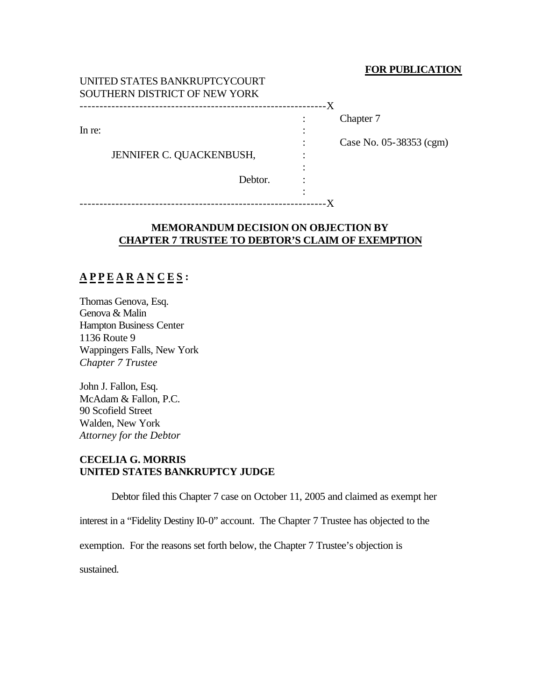#### **FOR PUBLICATION**

#### UNITED STATES BANKRUPTCYCOURT SOUTHERN DISTRICT OF NEW YORK --------------------------------------------------------------X

In re:  $\blacksquare$ 

: Chapter 7

: Case No. 05-38353 (cgm)

JENNIFER C. QUACKENBUSH, :

Debtor.

:

: --------------------------------------------------------------X

## **MEMORANDUM DECISION ON OBJECTION BY CHAPTER 7 TRUSTEE TO DEBTOR'S CLAIM OF EXEMPTION**

# **A P P E A R A N C E S :**

Thomas Genova, Esq. Genova & Malin Hampton Business Center 1136 Route 9 Wappingers Falls, New York *Chapter 7 Trustee*

John J. Fallon, Esq. McAdam & Fallon, P.C. 90 Scofield Street Walden, New York *Attorney for the Debtor*

## **CECELIA G. MORRIS UNITED STATES BANKRUPTCY JUDGE**

Debtor filed this Chapter 7 case on October 11, 2005 and claimed as exempt her

interest in a "Fidelity Destiny I0-0" account. The Chapter 7 Trustee has objected to the

exemption. For the reasons set forth below, the Chapter 7 Trustee's objection is

sustained.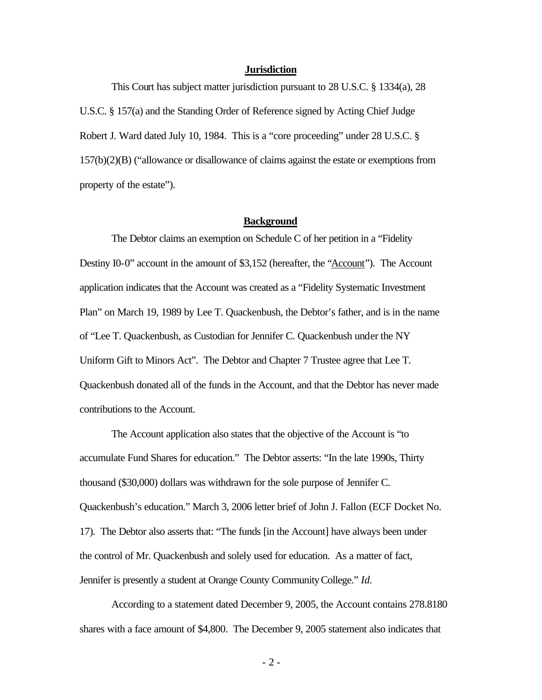#### **Jurisdiction**

This Court has subject matter jurisdiction pursuant to 28 U.S.C. § 1334(a), 28 U.S.C. § 157(a) and the Standing Order of Reference signed by Acting Chief Judge Robert J. Ward dated July 10, 1984. This is a "core proceeding" under 28 U.S.C. § 157(b)(2)(B) ("allowance or disallowance of claims against the estate or exemptions from property of the estate").

#### **Background**

The Debtor claims an exemption on Schedule C of her petition in a "Fidelity Destiny I0-0" account in the amount of \$3,152 (hereafter, the "Account"). The Account application indicates that the Account was created as a "Fidelity Systematic Investment Plan" on March 19, 1989 by Lee T. Quackenbush, the Debtor's father, and is in the name of "Lee T. Quackenbush, as Custodian for Jennifer C. Quackenbush under the NY Uniform Gift to Minors Act". The Debtor and Chapter 7 Trustee agree that Lee T. Quackenbush donated all of the funds in the Account, and that the Debtor has never made contributions to the Account.

The Account application also states that the objective of the Account is "to accumulate Fund Shares for education." The Debtor asserts: "In the late 1990s, Thirty thousand (\$30,000) dollars was withdrawn for the sole purpose of Jennifer C. Quackenbush's education." March 3, 2006 letter brief of John J. Fallon (ECF Docket No. 17). The Debtor also asserts that: "The funds [in the Account] have always been under the control of Mr. Quackenbush and solely used for education. As a matter of fact, Jennifer is presently a student at Orange County Community College." *Id.*

According to a statement dated December 9, 2005, the Account contains 278.8180 shares with a face amount of \$4,800. The December 9, 2005 statement also indicates that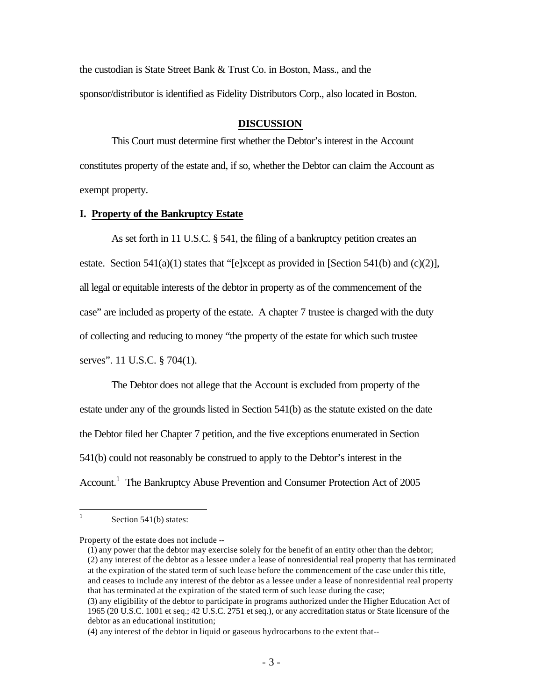the custodian is State Street Bank & Trust Co. in Boston, Mass., and the sponsor/distributor is identified as Fidelity Distributors Corp., also located in Boston.

#### **DISCUSSION**

This Court must determine first whether the Debtor's interest in the Account constitutes property of the estate and, if so, whether the Debtor can claim the Account as exempt property.

#### **I. Property of the Bankruptcy Estate**

As set forth in 11 U.S.C. § 541, the filing of a bankruptcy petition creates an estate. Section 541(a)(1) states that "[e]xcept as provided in [Section 541(b) and (c)(2)], all legal or equitable interests of the debtor in property as of the commencement of the case" are included as property of the estate. A chapter 7 trustee is charged with the duty of collecting and reducing to money "the property of the estate for which such trustee serves". 11 U.S.C. § 704(1).

The Debtor does not allege that the Account is excluded from property of the estate under any of the grounds listed in Section 541(b) as the statute existed on the date the Debtor filed her Chapter 7 petition, and the five exceptions enumerated in Section 541(b) could not reasonably be construed to apply to the Debtor's interest in the Account.<sup>1</sup> The Bankruptcy Abuse Prevention and Consumer Protection Act of 2005

 $\frac{1}{1}$ Section 541(b) states:

Property of the estate does not include --

<sup>(1)</sup> any power that the debtor may exercise solely for the benefit of an entity other than the debtor; (2) any interest of the debtor as a lessee under a lease of nonresidential real property that has terminated at the expiration of the stated term of such lease before the commencement of the case under this title, and ceases to include any interest of the debtor as a lessee under a lease of nonresidential real property that has terminated at the expiration of the stated term of such lease during the case;

<sup>(3)</sup> any eligibility of the debtor to participate in programs authorized under the Higher Education Act of 1965 (20 U.S.C. 1001 et seq.; 42 U.S.C. 2751 et seq.), or any accreditation status or State licensure of the debtor as an educational institution;

<sup>(4)</sup> any interest of the debtor in liquid or gaseous hydrocarbons to the extent that--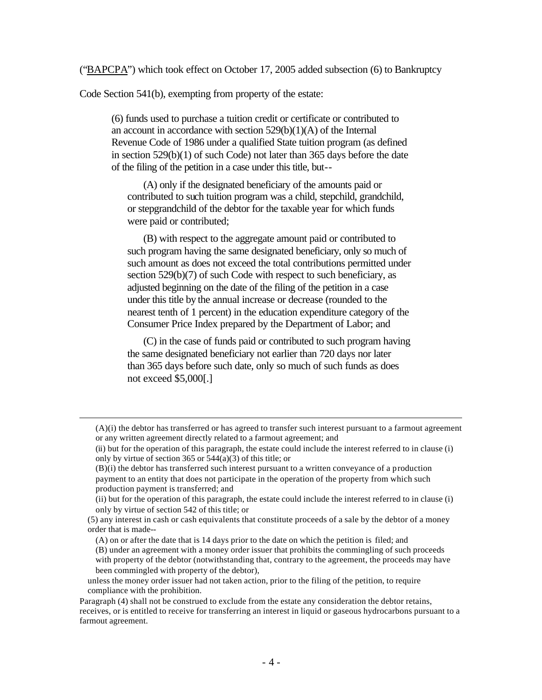("BAPCPA") which took effect on October 17, 2005 added subsection (6) to Bankruptcy

Code Section 541(b), exempting from property of the estate:

 $\overline{a}$ 

(6) funds used to purchase a tuition credit or certificate or contributed to an account in accordance with section 529(b)(1)(A) of the Internal Revenue Code of 1986 under a qualified State tuition program (as defined in section 529(b)(1) of such Code) not later than 365 days before the date of the filing of the petition in a case under this title, but--

(A) only if the designated beneficiary of the amounts paid or contributed to such tuition program was a child, stepchild, grandchild, or stepgrandchild of the debtor for the taxable year for which funds were paid or contributed;

(B) with respect to the aggregate amount paid or contributed to such program having the same designated beneficiary, only so much of such amount as does not exceed the total contributions permitted under section 529(b)(7) of such Code with respect to such beneficiary, as adjusted beginning on the date of the filing of the petition in a case under this title by the annual increase or decrease (rounded to the nearest tenth of 1 percent) in the education expenditure category of the Consumer Price Index prepared by the Department of Labor; and

(C) in the case of funds paid or contributed to such program having the same designated beneficiary not earlier than 720 days nor later than 365 days before such date, only so much of such funds as does not exceed \$5,000[.]

<sup>(</sup>A)(i) the debtor has transferred or has agreed to transfer such interest pursuant to a farmout agreement or any written agreement directly related to a farmout agreement; and

<sup>(</sup>ii) but for the operation of this paragraph, the estate could include the interest referred to in clause (i) only by virtue of section 365 or  $544(a)(3)$  of this title; or

<sup>(</sup>B)(i) the debtor has transferred such interest pursuant to a written conveyance of a production payment to an entity that does not participate in the operation of the property from which such production payment is transferred; and

<sup>(</sup>ii) but for the operation of this paragraph, the estate could include the interest referred to in clause (i) only by virtue of section 542 of this title; or

<sup>(5)</sup> any interest in cash or cash equivalents that constitute proceeds of a sale by the debtor of a money order that is made--

<sup>(</sup>A) on or after the date that is 14 days prior to the date on which the petition is filed; and

<sup>(</sup>B) under an agreement with a money order issuer that prohibits the commingling of such proceeds with property of the debtor (notwithstanding that, contrary to the agreement, the proceeds may have been commingled with property of the debtor),

unless the money order issuer had not taken action, prior to the filing of the petition, to require compliance with the prohibition.

Paragraph (4) shall not be construed to exclude from the estate any consideration the debtor retains, receives, or is entitled to receive for transferring an interest in liquid or gaseous hydrocarbons pursuant to a farmout agreement.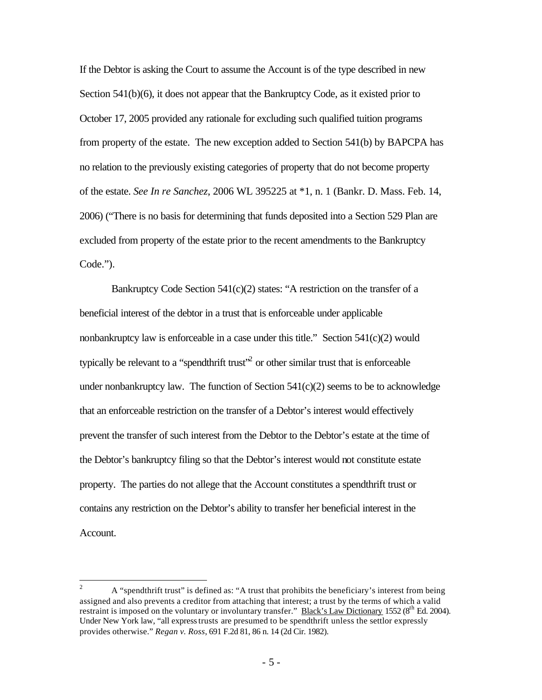If the Debtor is asking the Court to assume the Account is of the type described in new Section 541(b)(6), it does not appear that the Bankruptcy Code, as it existed prior to October 17, 2005 provided any rationale for excluding such qualified tuition programs from property of the estate. The new exception added to Section 541(b) by BAPCPA has no relation to the previously existing categories of property that do not become property of the estate. *See In re Sanchez*, 2006 WL 395225 at \*1, n. 1 (Bankr. D. Mass. Feb. 14, 2006) ("There is no basis for determining that funds deposited into a Section 529 Plan are excluded from property of the estate prior to the recent amendments to the Bankruptcy Code.").

Bankruptcy Code Section 541(c)(2) states: "A restriction on the transfer of a beneficial interest of the debtor in a trust that is enforceable under applicable nonbankruptcy law is enforceable in a case under this title." Section  $541(c)(2)$  would typically be relevant to a "spendthrift trust" $^2$  or other similar trust that is enforceable under nonbankruptcy law. The function of Section  $541(c)(2)$  seems to be to acknowledge that an enforceable restriction on the transfer of a Debtor's interest would effectively prevent the transfer of such interest from the Debtor to the Debtor's estate at the time of the Debtor's bankruptcy filing so that the Debtor's interest would not constitute estate property. The parties do not allege that the Account constitutes a spendthrift trust or contains any restriction on the Debtor's ability to transfer her beneficial interest in the Account.

 $\overline{c}$ <sup>2</sup> A "spendthrift trust" is defined as: "A trust that prohibits the beneficiary's interest from being assigned and also prevents a creditor from attaching that interest; a trust by the terms of which a valid restraint is imposed on the voluntary or involuntary transfer." Black's Law Dictionary 1552 (8<sup>th</sup> Ed. 2004). Under New York law, "all express trusts are presumed to be spendthrift unless the settlor expressly provides otherwise." *Regan v. Ross*, 691 F.2d 81, 86 n. 14 (2d Cir. 1982).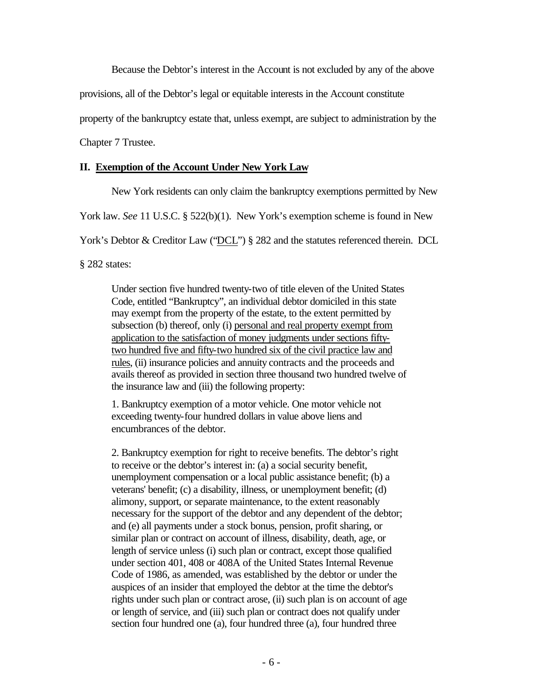Because the Debtor's interest in the Account is not excluded by any of the above

provisions, all of the Debtor's legal or equitable interests in the Account constitute

property of the bankruptcy estate that, unless exempt, are subject to administration by the

Chapter 7 Trustee.

#### **II. Exemption of the Account Under New York Law**

New York residents can only claim the bankruptcy exemptions permitted by New

York law. *See* 11 U.S.C. § 522(b)(1). New York's exemption scheme is found in New

York's Debtor & Creditor Law ("DCL") § 282 and the statutes referenced therein. DCL

§ 282 states:

Under section five hundred twenty-two of title eleven of the United States Code, entitled "Bankruptcy", an individual debtor domiciled in this state may exempt from the property of the estate, to the extent permitted by subsection (b) thereof, only (i) personal and real property exempt from application to the satisfaction of money judgments under sections fiftytwo hundred five and fifty-two hundred six of the civil practice law and rules, (ii) insurance policies and annuity contracts and the proceeds and avails thereof as provided in section three thousand two hundred twelve of the insurance law and (iii) the following property:

1. Bankruptcy exemption of a motor vehicle. One motor vehicle not exceeding twenty-four hundred dollars in value above liens and encumbrances of the debtor.

2. Bankruptcy exemption for right to receive benefits. The debtor's right to receive or the debtor's interest in: (a) a social security benefit, unemployment compensation or a local public assistance benefit; (b) a veterans' benefit; (c) a disability, illness, or unemployment benefit; (d) alimony, support, or separate maintenance, to the extent reasonably necessary for the support of the debtor and any dependent of the debtor; and (e) all payments under a stock bonus, pension, profit sharing, or similar plan or contract on account of illness, disability, death, age, or length of service unless (i) such plan or contract, except those qualified under section 401, 408 or 408A of the United States Internal Revenue Code of 1986, as amended, was established by the debtor or under the auspices of an insider that employed the debtor at the time the debtor's rights under such plan or contract arose, (ii) such plan is on account of age or length of service, and (iii) such plan or contract does not qualify under section four hundred one (a), four hundred three (a), four hundred three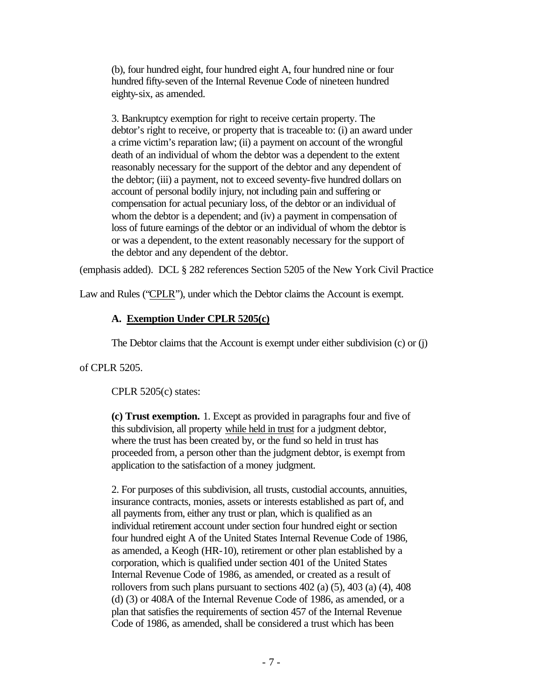(b), four hundred eight, four hundred eight A, four hundred nine or four hundred fifty-seven of the Internal Revenue Code of nineteen hundred eighty-six, as amended.

3. Bankruptcy exemption for right to receive certain property. The debtor's right to receive, or property that is traceable to: (i) an award under a crime victim's reparation law; (ii) a payment on account of the wrongful death of an individual of whom the debtor was a dependent to the extent reasonably necessary for the support of the debtor and any dependent of the debtor; (iii) a payment, not to exceed seventy-five hundred dollars on account of personal bodily injury, not including pain and suffering or compensation for actual pecuniary loss, of the debtor or an individual of whom the debtor is a dependent; and (iv) a payment in compensation of loss of future earnings of the debtor or an individual of whom the debtor is or was a dependent, to the extent reasonably necessary for the support of the debtor and any dependent of the debtor.

(emphasis added). DCL § 282 references Section 5205 of the New York Civil Practice

Law and Rules ("CPLR"), under which the Debtor claims the Account is exempt.

## **A. Exemption Under CPLR 5205(c)**

The Debtor claims that the Account is exempt under either subdivision (c) or (j)

of CPLR 5205.

CPLR 5205(c) states:

**(c) Trust exemption.** 1. Except as provided in paragraphs four and five of this subdivision, all property while held in trust for a judgment debtor, where the trust has been created by, or the fund so held in trust has proceeded from, a person other than the judgment debtor, is exempt from application to the satisfaction of a money judgment.

2. For purposes of this subdivision, all trusts, custodial accounts, annuities, insurance contracts, monies, assets or interests established as part of, and all payments from, either any trust or plan, which is qualified as an individual retirement account under section four hundred eight or section four hundred eight A of the United States Internal Revenue Code of 1986, as amended, a Keogh (HR-10), retirement or other plan established by a corporation, which is qualified under section 401 of the United States Internal Revenue Code of 1986, as amended, or created as a result of rollovers from such plans pursuant to sections 402 (a) (5), 403 (a) (4), 408 (d) (3) or 408A of the Internal Revenue Code of 1986, as amended, or a plan that satisfies the requirements of section 457 of the Internal Revenue Code of 1986, as amended, shall be considered a trust which has been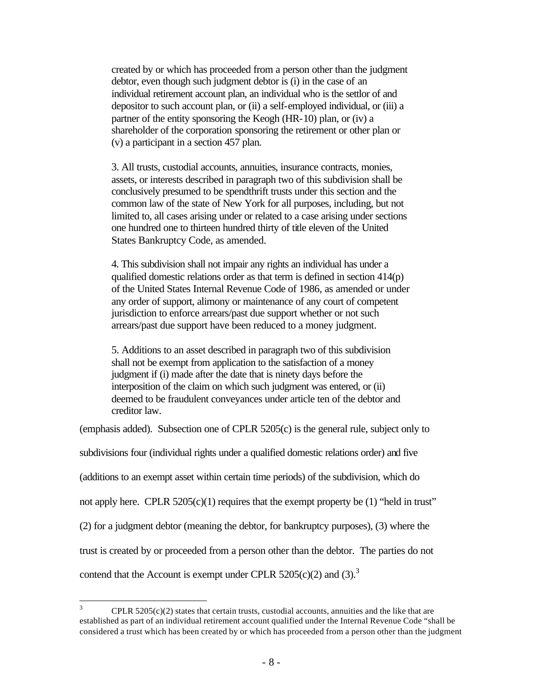created by or which has proceeded from a person other than the judgment debtor, even though such judgment debtor is (i) in the case of an individual retirement account plan, an individual who is the settlor of and depositor to such account plan, or (ii) a self-employed individual, or (iii) a partner of the entity sponsoring the Keogh (HR-10) plan, or (iv) a shareholder of the corporation sponsoring the retirement or other plan or (v) a participant in a section 457 plan.

3. All trusts, custodial accounts, annuities, insurance contracts, monies, assets, or interests described in paragraph two of this subdivision shall be conclusively presumed to be spendthrift trusts under this section and the common law of the state of New York for all purposes, including, but not limited to, all cases arising under or related to a case arising under sections one hundred one to thirteen hundred thirty of title eleven of the United States Bankruptcy Code, as amended.

4. This subdivision shall not impair any rights an individual has under a qualified domestic relations order as that term is defined in section  $414(p)$ of the United States Internal Revenue Code of 1986, as amended or under any order of support, alimony or maintenance of any court of competent jurisdiction to enforce arrears/past due support whether or not such arrears/past due support have been reduced to a money judgment.

5. Additions to an asset described in paragraph two of this subdivision shall not be exempt from application to the satisfaction of a money judgment if (i) made after the date that is ninety days before the interposition of the claim on which such judgment was entered, or (ii) deemed to be fraudulent conveyances under article ten of the debtor and creditor law.

(emphasis added). Subsection one of CPLR 5205(c) is the general rule, subject only to subdivisions four (individual rights under a qualified domestic relations order) and five (additions to an exempt asset within certain time periods) of the subdivision, which do not apply here. CPLR  $5205(c)(1)$  requires that the exempt property be (1) "held in trust" (2) for a judgment debtor (meaning the debtor, for bankruptcy purposes), (3) where the trust is created by or proceeded from a person other than the debtor. The parties do not contend that the Account is exempt under CPLR  $5205(c)(2)$  and  $(3).$ <sup>3</sup>

 $\overline{\mathbf{3}}$  $CPLR$  5205(c)(2) states that certain trusts, custodial accounts, annuities and the like that are established as part of an individual retirement account qualified under the Internal Revenue Code "shall be considered a trust which has been created by or which has proceeded from a person other than the judgment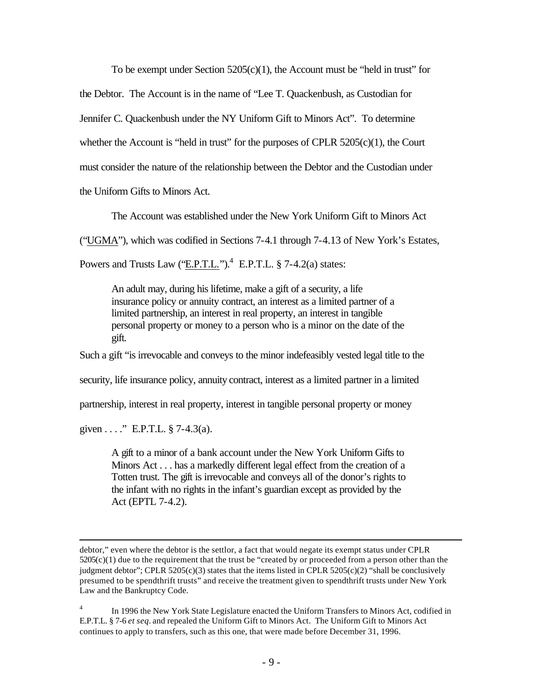To be exempt under Section  $5205(c)(1)$ , the Account must be "held in trust" for

the Debtor. The Account is in the name of "Lee T. Quackenbush, as Custodian for

Jennifer C. Quackenbush under the NY Uniform Gift to Minors Act". To determine

whether the Account is "held in trust" for the purposes of CPLR  $5205(c)(1)$ , the Court

must consider the nature of the relationship between the Debtor and the Custodian under

the Uniform Gifts to Minors Act.

The Account was established under the New York Uniform Gift to Minors Act

("UGMA"), which was codified in Sections 7-4.1 through 7-4.13 of New York's Estates,

Powers and Trusts Law  $(\text{E.P.T.L.})^4$  E.P.T.L. § 7-4.2(a) states:

An adult may, during his lifetime, make a gift of a security, a life insurance policy or annuity contract, an interest as a limited partner of a limited partnership, an interest in real property, an interest in tangible personal property or money to a person who is a minor on the date of the gift.

Such a gift "is irrevocable and conveys to the minor indefeasibly vested legal title to the

security, life insurance policy, annuity contract, interest as a limited partner in a limited

partnership, interest in real property, interest in tangible personal property or money

given . . . ." E.P.T.L.  $\S$  7-4.3(a).

 $\overline{a}$ 

A gift to a minor of a bank account under the New York Uniform Gifts to Minors Act . . . has a markedly different legal effect from the creation of a Totten trust. The gift is irrevocable and conveys all of the donor's rights to the infant with no rights in the infant's guardian except as provided by the Act (EPTL 7-4.2).

debtor," even where the debtor is the settlor, a fact that would negate its exempt status under CPLR  $5205(c)(1)$  due to the requirement that the trust be "created by or proceeded from a person other than the judgment debtor"; CPLR 5205(c)(3) states that the items listed in CPLR 5205(c)(2) "shall be conclusively presumed to be spendthrift trusts" and receive the treatment given to spendthrift trusts under New York Law and the Bankruptcy Code.

<sup>4</sup> In 1996 the New York State Legislature enacted the Uniform Transfers to Minors Act, codified in E.P.T.L. § 7-6 *et seq.* and repealed the Uniform Gift to Minors Act. The Uniform Gift to Minors Act continues to apply to transfers, such as this one, that were made before December 31, 1996.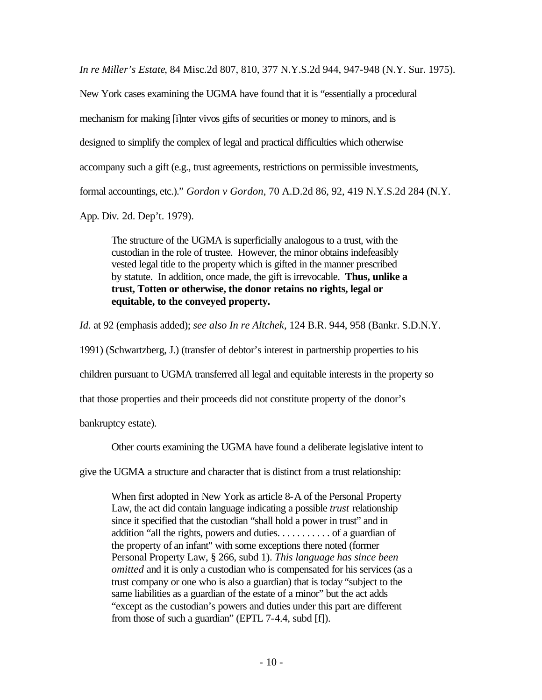*In re Miller's Estate*, 84 Misc.2d 807, 810, 377 N.Y.S.2d 944, 947-948 (N.Y. Sur. 1975).

New York cases examining the UGMA have found that it is "essentially a procedural mechanism for making [i]nter vivos gifts of securities or money to minors, and is designed to simplify the complex of legal and practical difficulties which otherwise accompany such a gift (e.g., trust agreements, restrictions on permissible investments, formal accountings, etc.)." *Gordon v Gordon*, 70 A.D.2d 86, 92, 419 N.Y.S.2d 284 (N.Y.

App. Div. 2d. Dep't. 1979).

The structure of the UGMA is superficially analogous to a trust, with the custodian in the role of trustee. However, the minor obtains indefeasibly vested legal title to the property which is gifted in the manner prescribed by statute. In addition, once made, the gift is irrevocable. **Thus, unlike a trust, Totten or otherwise, the donor retains no rights, legal or equitable, to the conveyed property.**

*Id.* at 92 (emphasis added); *see also In re Altchek,* 124 B.R. 944, 958 (Bankr. S.D.N.Y.

1991) (Schwartzberg, J.) (transfer of debtor's interest in partnership properties to his

children pursuant to UGMA transferred all legal and equitable interests in the property so

that those properties and their proceeds did not constitute property of the donor's

bankruptcy estate).

Other courts examining the UGMA have found a deliberate legislative intent to

give the UGMA a structure and character that is distinct from a trust relationship:

When first adopted in New York as article 8-A of the Personal Property Law, the act did contain language indicating a possible *trust* relationship since it specified that the custodian "shall hold a power in trust" and in addition "all the rights, powers and duties. . . . . . . . . . . of a guardian of the property of an infant" with some exceptions there noted (former Personal Property Law, § 266, subd 1). *This language has since been omitted* and it is only a custodian who is compensated for his services (as a trust company or one who is also a guardian) that is today "subject to the same liabilities as a guardian of the estate of a minor" but the act adds "except as the custodian's powers and duties under this part are different from those of such a guardian" (EPTL 7-4.4, subd [f]).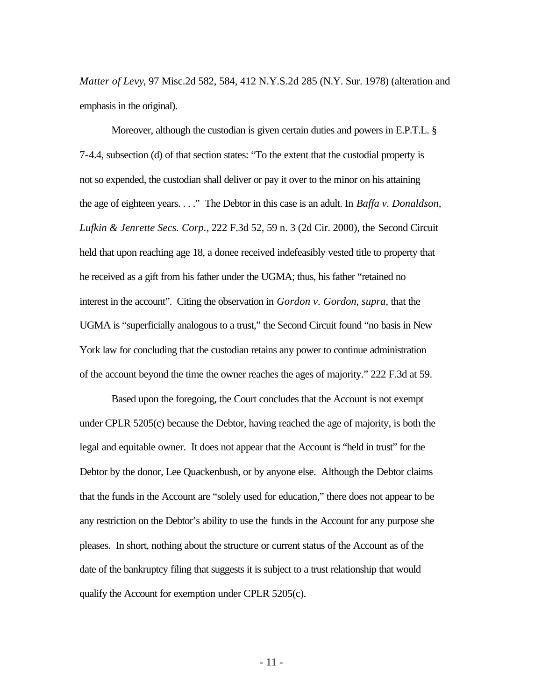*Matter of Levy*, 97 Misc.2d 582, 584, 412 N.Y.S.2d 285 (N.Y. Sur. 1978) (alteration and emphasis in the original).

Moreover, although the custodian is given certain duties and powers in E.P.T.L. § 7-4.4, subsection (d) of that section states: "To the extent that the custodial property is not so expended, the custodian shall deliver or pay it over to the minor on his attaining the age of eighteen years. . . ." The Debtor in this case is an adult. In *Baffa v. Donaldson, Lufkin & Jenrette Secs. Corp.*, 222 F.3d 52, 59 n. 3 (2d Cir. 2000), the Second Circuit held that upon reaching age 18, a donee received indefeasibly vested title to property that he received as a gift from his father under the UGMA; thus, his father "retained no interest in the account". Citing the observation in *Gordon v. Gordon, supra,* that the UGMA is "superficially analogous to a trust," the Second Circuit found "no basis in New York law for concluding that the custodian retains any power to continue administration of the account beyond the time the owner reaches the ages of majority." 222 F.3d at 59.

Based upon the foregoing, the Court concludes that the Account is not exempt under CPLR 5205(c) because the Debtor, having reached the age of majority, is both the legal and equitable owner. It does not appear that the Account is "held in trust" for the Debtor by the donor, Lee Quackenbush, or by anyone else. Although the Debtor claims that the funds in the Account are "solely used for education," there does not appear to be any restriction on the Debtor's ability to use the funds in the Account for any purpose she pleases. In short, nothing about the structure or current status of the Account as of the date of the bankruptcy filing that suggests it is subject to a trust relationship that would qualify the Account for exemption under CPLR 5205(c).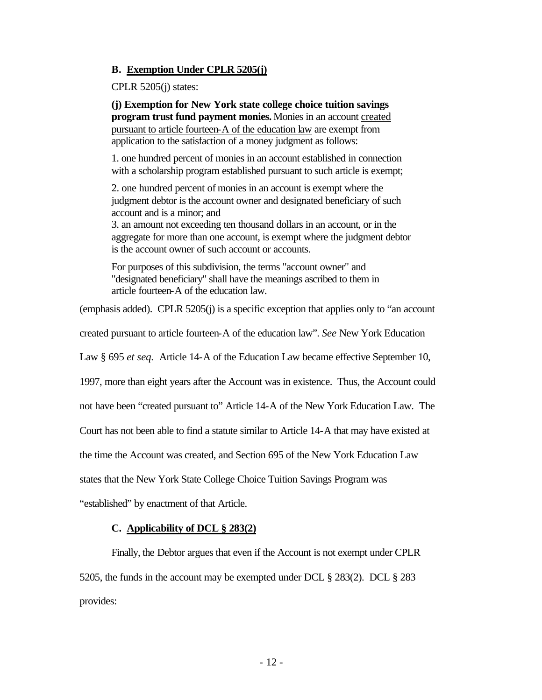#### **B. Exemption Under CPLR 5205(j)**

CPLR 5205(j) states:

**(j) Exemption for New York state college choice tuition savings program trust fund payment monies.** Monies in an account created pursuant to article fourteen-A of the education law are exempt from application to the satisfaction of a money judgment as follows:

1. one hundred percent of monies in an account established in connection with a scholarship program established pursuant to such article is exempt;

2. one hundred percent of monies in an account is exempt where the judgment debtor is the account owner and designated beneficiary of such account and is a minor; and

3. an amount not exceeding ten thousand dollars in an account, or in the aggregate for more than one account, is exempt where the judgment debtor is the account owner of such account or accounts.

For purposes of this subdivision, the terms "account owner" and "designated beneficiary" shall have the meanings ascribed to them in article fourteen-A of the education law.

(emphasis added). CPLR 5205(j) is a specific exception that applies only to "an account

created pursuant to article fourteen-A of the education law". *See* New York Education

Law § 695 *et seq.* Article 14-A of the Education Law became effective September 10,

1997, more than eight years after the Account was in existence. Thus, the Account could

not have been "created pursuant to" Article 14-A of the New York Education Law. The

Court has not been able to find a statute similar to Article 14-A that may have existed at

the time the Account was created, and Section 695 of the New York Education Law

states that the New York State College Choice Tuition Savings Program was

"established" by enactment of that Article.

#### **C. Applicability of DCL § 283(2)**

Finally, the Debtor argues that even if the Account is not exempt under CPLR 5205, the funds in the account may be exempted under DCL § 283(2). DCL § 283 provides: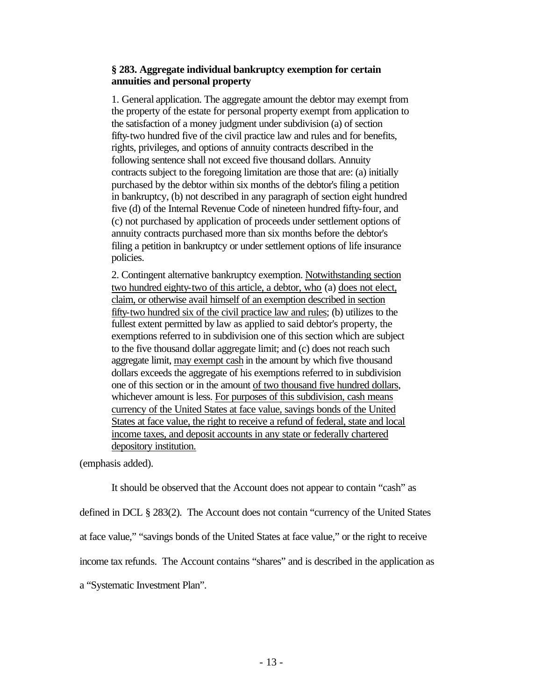## **§ 283. Aggregate individual bankruptcy exemption for certain annuities and personal property**

1. General application. The aggregate amount the debtor may exempt from the property of the estate for personal property exempt from application to the satisfaction of a money judgment under subdivision (a) of section fifty-two hundred five of the civil practice law and rules and for benefits, rights, privileges, and options of annuity contracts described in the following sentence shall not exceed five thousand dollars. Annuity contracts subject to the foregoing limitation are those that are: (a) initially purchased by the debtor within six months of the debtor's filing a petition in bankruptcy, (b) not described in any paragraph of section eight hundred five (d) of the Internal Revenue Code of nineteen hundred fifty-four, and (c) not purchased by application of proceeds under settlement options of annuity contracts purchased more than six months before the debtor's filing a petition in bankruptcy or under settlement options of life insurance policies.

2. Contingent alternative bankruptcy exemption. Notwithstanding section two hundred eighty-two of this article, a debtor, who (a) does not elect, claim, or otherwise avail himself of an exemption described in section fifty-two hundred six of the civil practice law and rules; (b) utilizes to the fullest extent permitted by law as applied to said debtor's property, the exemptions referred to in subdivision one of this section which are subject to the five thousand dollar aggregate limit; and (c) does not reach such aggregate limit, may exempt cash in the amount by which five thousand dollars exceeds the aggregate of his exemptions referred to in subdivision one of this section or in the amount of two thousand five hundred dollars, whichever amount is less. For purposes of this subdivision, cash means currency of the United States at face value, savings bonds of the United States at face value, the right to receive a refund of federal, state and local income taxes, and deposit accounts in any state or federally chartered depository institution.

(emphasis added).

It should be observed that the Account does not appear to contain "cash" as defined in DCL § 283(2). The Account does not contain "currency of the United States at face value," "savings bonds of the United States at face value," or the right to receive income tax refunds. The Account contains "shares" and is described in the application as a "Systematic Investment Plan".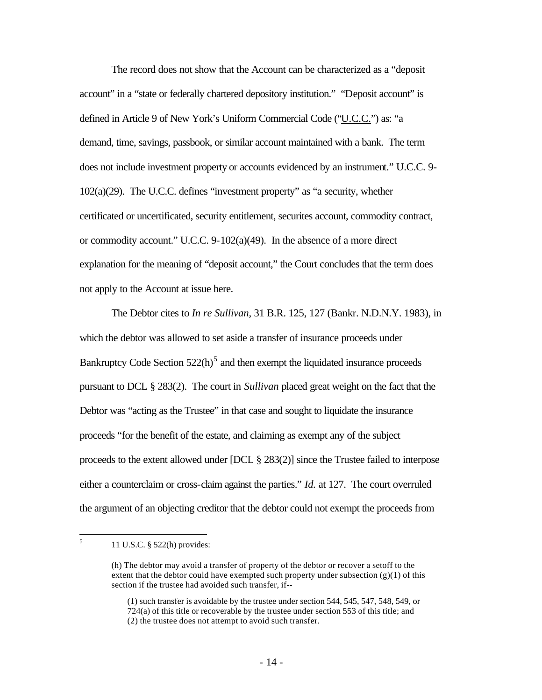The record does not show that the Account can be characterized as a "deposit account" in a "state or federally chartered depository institution." "Deposit account" is defined in Article 9 of New York's Uniform Commercial Code ("U.C.C.") as: "a demand, time, savings, passbook, or similar account maintained with a bank. The term does not include investment property or accounts evidenced by an instrument." U.C.C. 9- 102(a)(29). The U.C.C. defines "investment property" as "a security, whether certificated or uncertificated, security entitlement, securites account, commodity contract, or commodity account." U.C.C. 9-102(a)(49). In the absence of a more direct explanation for the meaning of "deposit account," the Court concludes that the term does not apply to the Account at issue here.

The Debtor cites to *In re Sullivan*, 31 B.R. 125, 127 (Bankr. N.D.N.Y. 1983), in which the debtor was allowed to set aside a transfer of insurance proceeds under Bankruptcy Code Section  $522(h)^5$  and then exempt the liquidated insurance proceeds pursuant to DCL § 283(2). The court in *Sullivan* placed great weight on the fact that the Debtor was "acting as the Trustee" in that case and sought to liquidate the insurance proceeds "for the benefit of the estate, and claiming as exempt any of the subject proceeds to the extent allowed under [DCL § 283(2)] since the Trustee failed to interpose either a counterclaim or cross-claim against the parties." *Id.* at 127. The court overruled the argument of an objecting creditor that the debtor could not exempt the proceeds from

 5 11 U.S.C. § 522(h) provides:

<sup>(</sup>h) The debtor may avoid a transfer of property of the debtor or recover a setoff to the extent that the debtor could have exempted such property under subsection  $(g)(1)$  of this section if the trustee had avoided such transfer, if--

<sup>(1)</sup> such transfer is avoidable by the trustee under section 544, 545, 547, 548, 549, or 724(a) of this title or recoverable by the trustee under section 553 of this title; and (2) the trustee does not attempt to avoid such transfer.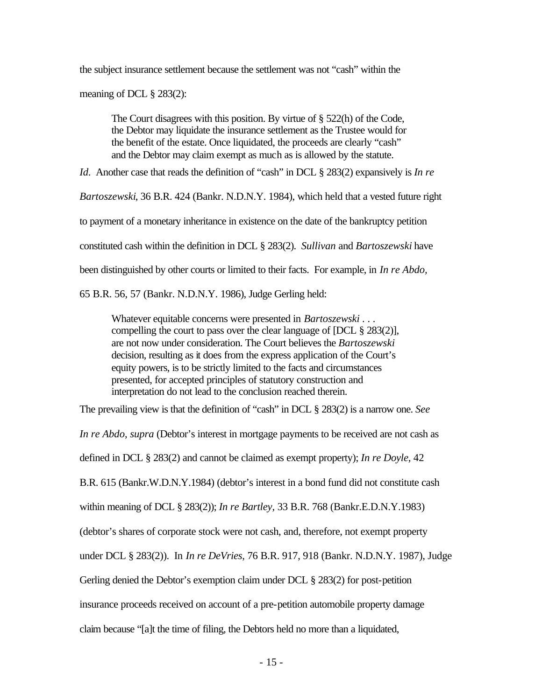the subject insurance settlement because the settlement was not "cash" within the

meaning of DCL § 283(2):

The Court disagrees with this position. By virtue of § 522(h) of the Code, the Debtor may liquidate the insurance settlement as the Trustee would for the benefit of the estate. Once liquidated, the proceeds are clearly "cash" and the Debtor may claim exempt as much as is allowed by the statute.

*Id*. Another case that reads the definition of "cash" in DCL § 283(2) expansively is *In re* 

*Bartoszewski*, 36 B.R. 424 (Bankr. N.D.N.Y. 1984), which held that a vested future right

to payment of a monetary inheritance in existence on the date of the bankruptcy petition

constituted cash within the definition in DCL § 283(2). *Sullivan* and *Bartoszewski* have

been distinguished by other courts or limited to their facts. For example, in *In re Abdo,* 

65 B.R. 56, 57 (Bankr. N.D.N.Y. 1986), Judge Gerling held:

Whatever equitable concerns were presented in *Bartoszewski . . .*  compelling the court to pass over the clear language of [DCL § 283(2)], are not now under consideration. The Court believes the *Bartoszewski* decision, resulting as it does from the express application of the Court's equity powers, is to be strictly limited to the facts and circumstances presented, for accepted principles of statutory construction and interpretation do not lead to the conclusion reached therein.

The prevailing view is that the definition of "cash" in DCL § 283(2) is a narrow one. *See* 

*In re Abdo*, *supra* (Debtor's interest in mortgage payments to be received are not cash as

defined in DCL § 283(2) and cannot be claimed as exempt property); *In re Doyle,* 42

B.R. 615 (Bankr.W.D.N.Y.1984) (debtor's interest in a bond fund did not constitute cash

within meaning of DCL § 283(2)); *In re Bartley,* 33 B.R. 768 (Bankr.E.D.N.Y.1983)

(debtor's shares of corporate stock were not cash, and, therefore, not exempt property

under DCL § 283(2)). In *In re DeVries*, 76 B.R. 917, 918 (Bankr. N.D.N.Y. 1987), Judge

Gerling denied the Debtor's exemption claim under DCL § 283(2) for post-petition

insurance proceeds received on account of a pre-petition automobile property damage

claim because "[a]t the time of filing, the Debtors held no more than a liquidated,